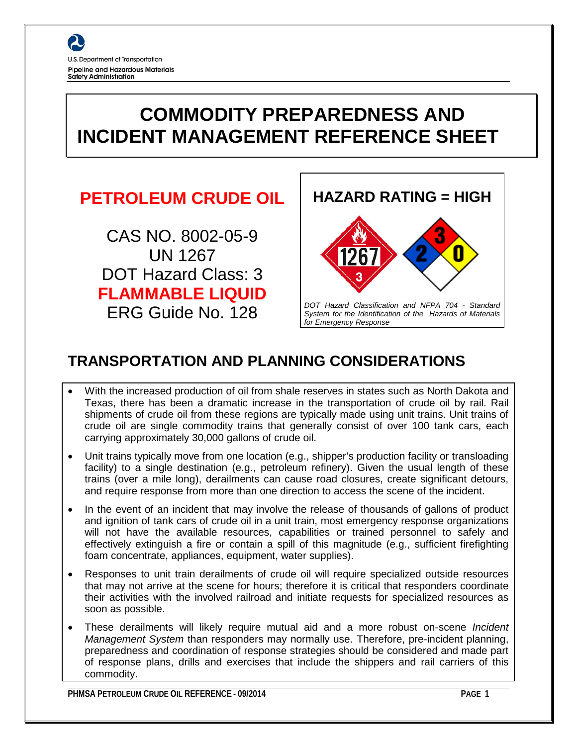

# **COMMODITY PREPAREDNESS AND INCIDENT MANAGEMENT REFERENCE SHEET**

# **PETROLEUM CRUDE OIL**

CAS NO. 8002-05-9 UN 1267 DOT Hazard Class: 3 **FLAMMABLE LIQUID** ERG Guide No. 128



# **TRANSPORTATION AND PLANNING CONSIDERATIONS**

- With the increased production of oil from shale reserves in states such as North Dakota and Texas, there has been a dramatic increase in the transportation of crude oil by rail. Rail shipments of crude oil from these regions are typically made using unit trains. Unit trains of crude oil are single commodity trains that generally consist of over 100 tank cars, each carrying approximately 30,000 gallons of crude oil.
- Unit trains typically move from one location (e.g., shipper's production facility or transloading facility) to a single destination (e.g., petroleum refinery). Given the usual length of these trains (over a mile long), derailments can cause road closures, create significant detours, and require response from more than one direction to access the scene of the incident.
- In the event of an incident that may involve the release of thousands of gallons of product and ignition of tank cars of crude oil in a unit train, most emergency response organizations will not have the available resources, capabilities or trained personnel to safely and effectively extinguish a fire or contain a spill of this magnitude (e.g., sufficient firefighting foam concentrate, appliances, equipment, water supplies).
- Responses to unit train derailments of crude oil will require specialized outside resources that may not arrive at the scene for hours; therefore it is critical that responders coordinate their activities with the involved railroad and initiate requests for specialized resources as soon as possible.
- These derailments will likely require mutual aid and a more robust on-scene *Incident Management System* than responders may normally use. Therefore, pre-incident planning, preparedness and coordination of response strategies should be considered and made part of response plans, drills and exercises that include the shippers and rail carriers of this commodity.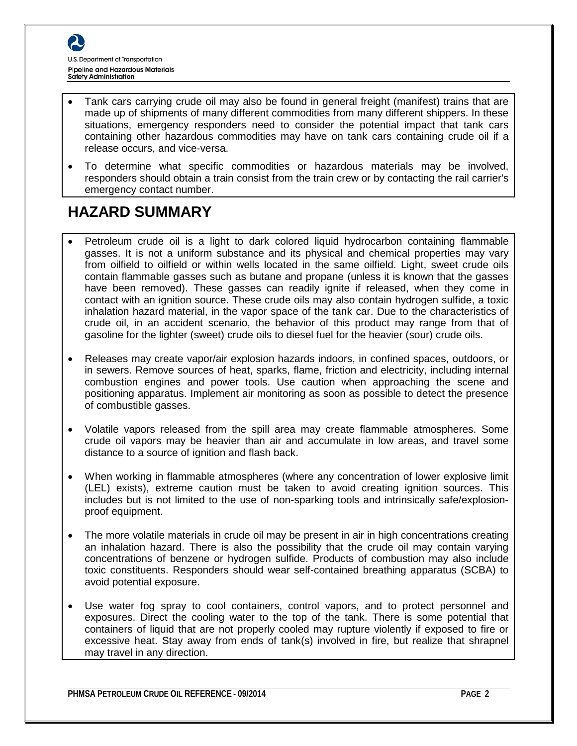

- Tank cars carrying crude oil may also be found in general freight (manifest) trains that are made up of shipments of many different commodities from many different shippers. In these situations, emergency responders need to consider the potential impact that tank cars containing other hazardous commodities may have on tank cars containing crude oil if a release occurs, and vice-versa.
- To determine what specific commodities or hazardous materials may be involved, responders should obtain a train consist from the train crew or by contacting the rail carrier's emergency contact number.

### **HAZARD SUMMARY**

- Petroleum crude oil is a light to dark colored liquid hydrocarbon containing flammable gasses. It is not a uniform substance and its physical and chemical properties may vary from oilfield to oilfield or within wells located in the same oilfield. Light, sweet crude oils contain flammable gasses such as butane and propane (unless it is known that the gasses have been removed). These gasses can readily ignite if released, when they come in contact with an ignition source. These crude oils may also contain hydrogen sulfide, a toxic inhalation hazard material, in the vapor space of the tank car. Due to the characteristics of crude oil, in an accident scenario, the behavior of this product may range from that of gasoline for the lighter (sweet) crude oils to diesel fuel for the heavier (sour) crude oils.
- Releases may create vapor/air explosion hazards indoors, in confined spaces, outdoors, or in sewers. Remove sources of heat, sparks, flame, friction and electricity, including internal combustion engines and power tools. Use caution when approaching the scene and positioning apparatus. Implement air monitoring as soon as possible to detect the presence of combustible gasses.
- Volatile vapors released from the spill area may create flammable atmospheres. Some crude oil vapors may be heavier than air and accumulate in low areas, and travel some distance to a source of ignition and flash back.
- When working in flammable atmospheres (where any concentration of lower explosive limit (LEL) exists), extreme caution must be taken to avoid creating ignition sources. This includes but is not limited to the use of non-sparking tools and intrinsically safe/explosionproof equipment.
- The more volatile materials in crude oil may be present in air in high concentrations creating an inhalation hazard. There is also the possibility that the crude oil may contain varying concentrations of benzene or hydrogen sulfide. Products of combustion may also include toxic constituents. Responders should wear self-contained breathing apparatus (SCBA) to avoid potential exposure.
- Use water fog spray to cool containers, control vapors, and to protect personnel and exposures. Direct the cooling water to the top of the tank. There is some potential that containers of liquid that are not properly cooled may rupture violently if exposed to fire or excessive heat. Stay away from ends of tank(s) involved in fire, but realize that shrapnel may travel in any direction.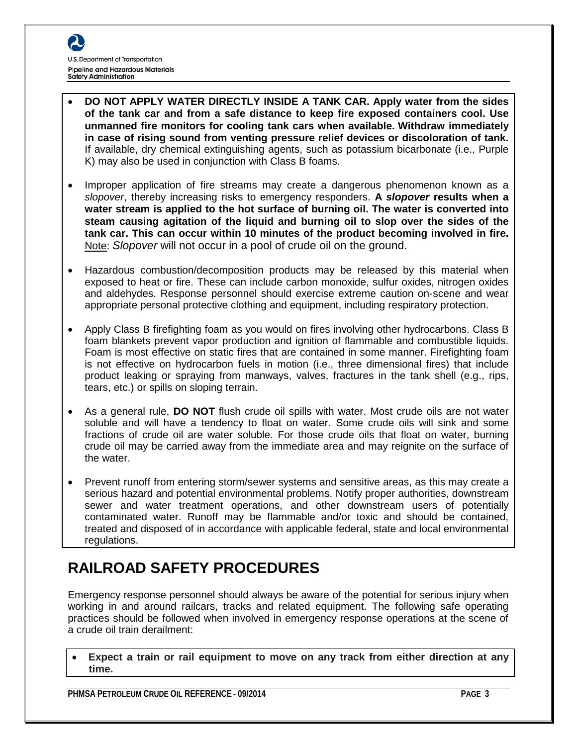- **DO NOT APPLY WATER DIRECTLY INSIDE A TANK CAR. Apply water from the sides of the tank car and from a safe distance to keep fire exposed containers cool. Use unmanned fire monitors for cooling tank cars when available. Withdraw immediately in case of rising sound from venting pressure relief devices or discoloration of tank.** If available, dry chemical extinguishing agents, such as potassium bicarbonate (i.e., Purple K) may also be used in conjunction with Class B foams.
- Improper application of fire streams may create a dangerous phenomenon known as a *slopover*, thereby increasing risks to emergency responders. **A** *slopover* **results when a water stream is applied to the hot surface of burning oil. The water is converted into steam causing agitation of the liquid and burning oil to slop over the sides of the tank car. This can occur within 10 minutes of the product becoming involved in fire.** Note: *Slopover* will not occur in a pool of crude oil on the ground.
- Hazardous combustion/decomposition products may be released by this material when exposed to heat or fire. These can include carbon monoxide, sulfur oxides, nitrogen oxides and aldehydes. Response personnel should exercise extreme caution on-scene and wear appropriate personal protective clothing and equipment, including respiratory protection.
- Apply Class B firefighting foam as you would on fires involving other hydrocarbons. Class B foam blankets prevent vapor production and ignition of flammable and combustible liquids. Foam is most effective on static fires that are contained in some manner. Firefighting foam is not effective on hydrocarbon fuels in motion (i.e., three dimensional fires) that include product leaking or spraying from manways, valves, fractures in the tank shell (e.g., rips, tears, etc.) or spills on sloping terrain.
- As a general rule, **DO NOT** flush crude oil spills with water. Most crude oils are not water soluble and will have a tendency to float on water. Some crude oils will sink and some fractions of crude oil are water soluble. For those crude oils that float on water, burning crude oil may be carried away from the immediate area and may reignite on the surface of the water.
- Prevent runoff from entering storm/sewer systems and sensitive areas, as this may create a serious hazard and potential environmental problems. Notify proper authorities, downstream sewer and water treatment operations, and other downstream users of potentially contaminated water. Runoff may be flammable and/or toxic and should be contained, treated and disposed of in accordance with applicable federal, state and local environmental regulations.

# **RAILROAD SAFETY PROCEDURES**

Emergency response personnel should always be aware of the potential for serious injury when working in and around railcars, tracks and related equipment. The following safe operating practices should be followed when involved in emergency response operations at the scene of a crude oil train derailment:

• **Expect a train or rail equipment to move on any track from either direction at any time.**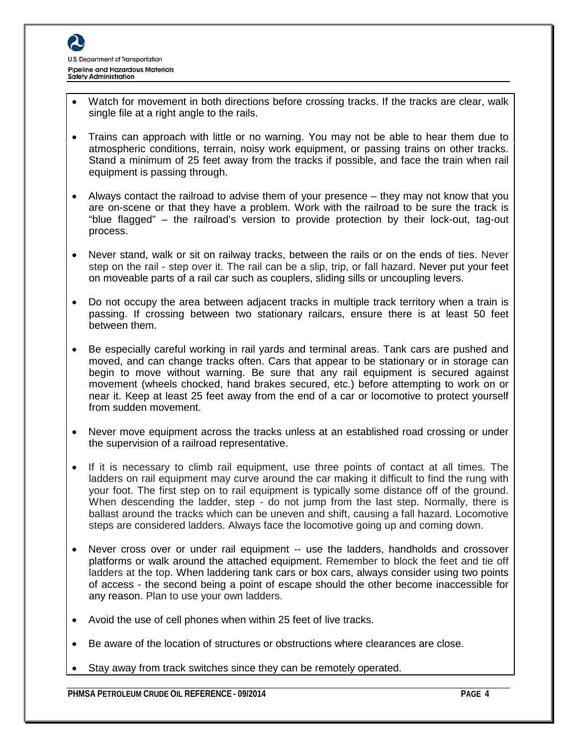

- Watch for movement in both directions before crossing tracks. If the tracks are clear, walk single file at a right angle to the rails.
- Trains can approach with little or no warning. You may not be able to hear them due to atmospheric conditions, terrain, noisy work equipment, or passing trains on other tracks. Stand a minimum of 25 feet away from the tracks if possible, and face the train when rail equipment is passing through.
- Always contact the railroad to advise them of your presence they may not know that you are on-scene or that they have a problem. Work with the railroad to be sure the track is "blue flagged" – the railroad's version to provide protection by their lock-out, tag-out process.
- Never stand, walk or sit on railway tracks, between the rails or on the ends of ties. Never step on the rail - step over it. The rail can be a slip, trip, or fall hazard. Never put your feet on moveable parts of a rail car such as couplers, sliding sills or uncoupling levers.
- Do not occupy the area between adjacent tracks in multiple track territory when a train is passing. If crossing between two stationary railcars, ensure there is at least 50 feet between them.
- Be especially careful working in rail yards and terminal areas. Tank cars are pushed and moved, and can change tracks often. Cars that appear to be stationary or in storage can begin to move without warning. Be sure that any rail equipment is secured against movement (wheels chocked, hand brakes secured, etc.) before attempting to work on or near it. Keep at least 25 feet away from the end of a car or locomotive to protect yourself from sudden movement.
- Never move equipment across the tracks unless at an established road crossing or under the supervision of a railroad representative.
- If it is necessary to climb rail equipment, use three points of contact at all times. The ladders on rail equipment may curve around the car making it difficult to find the rung with your foot. The first step on to rail equipment is typically some distance off of the ground. When descending the ladder, step - do not jump from the last step. Normally, there is ballast around the tracks which can be uneven and shift, causing a fall hazard. Locomotive steps are considered ladders. Always face the locomotive going up and coming down.
- Never cross over or under rail equipment -- use the ladders, handholds and crossover platforms or walk around the attached equipment. Remember to block the feet and tie off ladders at the top. When laddering tank cars or box cars, always consider using two points of access - the second being a point of escape should the other become inaccessible for any reason. Plan to use your own ladders.
- Avoid the use of cell phones when within 25 feet of live tracks.
- Be aware of the location of structures or obstructions where clearances are close.
- Stay away from track switches since they can be remotely operated.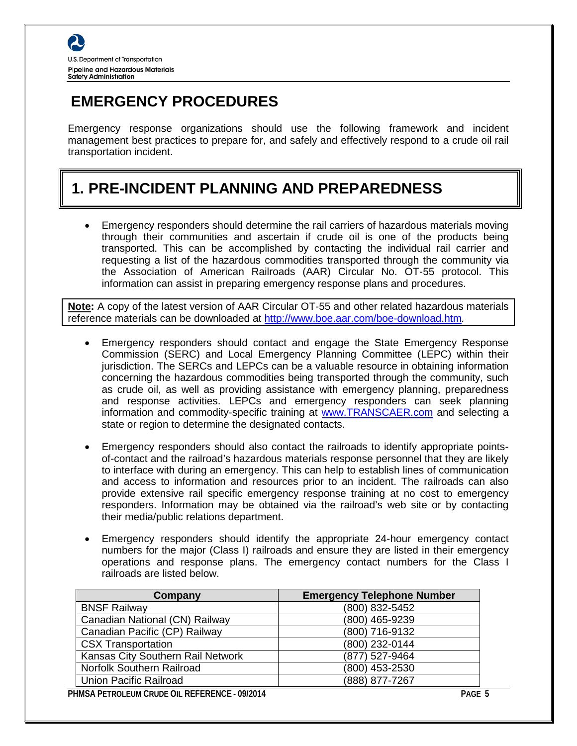# **EMERGENCY PROCEDURES**

Emergency response organizations should use the following framework and incident management best practices to prepare for, and safely and effectively respond to a crude oil rail transportation incident.

# **1. PRE-INCIDENT PLANNING AND PREPAREDNESS**

• Emergency responders should determine the rail carriers of hazardous materials moving through their communities and ascertain if crude oil is one of the products being transported. This can be accomplished by contacting the individual rail carrier and requesting a list of the hazardous commodities transported through the community via the Association of American Railroads (AAR) Circular No. OT-55 protocol. This information can assist in preparing emergency response plans and procedures.

**Note:** A copy of the latest version of AAR Circular OT-55 and other related hazardous materials reference materials can be downloaded at<http://www.boe.aar.com/boe-download.htm>*.* 

- Emergency responders should contact and engage the State Emergency Response Commission (SERC) and Local Emergency Planning Committee (LEPC) within their jurisdiction. The SERCs and LEPCs can be a valuable resource in obtaining information concerning the hazardous commodities being transported through the community, such as crude oil, as well as providing assistance with emergency planning, preparedness and response activities. LEPCs and emergency responders can seek planning information and commodity-specific training at [www.TRANSCAER.com](http://www.transcaer.com/) and selecting a state or region to determine the designated contacts.
- Emergency responders should also contact the railroads to identify appropriate pointsof-contact and the railroad's hazardous materials response personnel that they are likely to interface with during an emergency. This can help to establish lines of communication and access to information and resources prior to an incident. The railroads can also provide extensive rail specific emergency response training at no cost to emergency responders. Information may be obtained via the railroad's web site or by contacting their media/public relations department.
- Emergency responders should identify the appropriate 24-hour emergency contact numbers for the major (Class I) railroads and ensure they are listed in their emergency operations and response plans. The emergency contact numbers for the Class I railroads are listed below.

| Company                           | <b>Emergency Telephone Number</b> |
|-----------------------------------|-----------------------------------|
| <b>BNSF Railway</b>               | (800) 832-5452                    |
| Canadian National (CN) Railway    | (800) 465-9239                    |
| Canadian Pacific (CP) Railway     | (800) 716-9132                    |
| <b>CSX Transportation</b>         | (800) 232-0144                    |
| Kansas City Southern Rail Network | (877) 527-9464                    |
| Norfolk Southern Railroad         | (800) 453-2530                    |
| Union Pacific Railroad            | (888) 877-7267                    |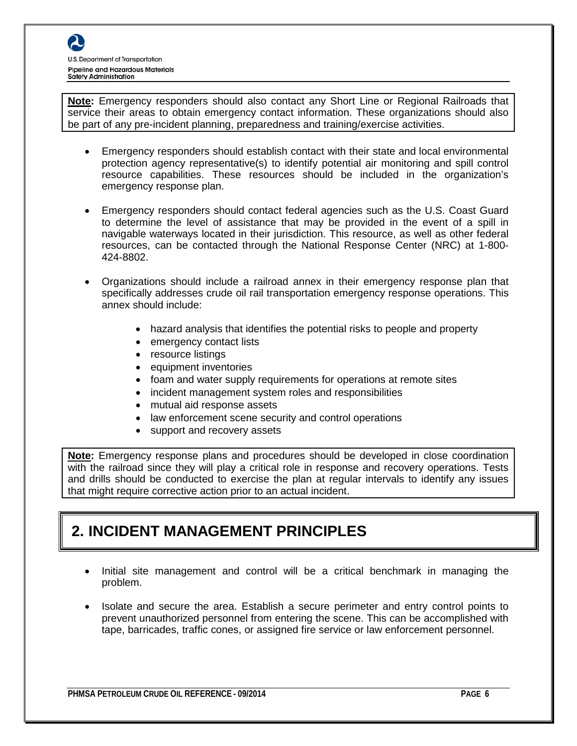**Note:** Emergency responders should also contact any Short Line or Regional Railroads that service their areas to obtain emergency contact information. These organizations should also be part of any pre-incident planning, preparedness and training/exercise activities.

- Emergency responders should establish contact with their state and local environmental protection agency representative(s) to identify potential air monitoring and spill control resource capabilities. These resources should be included in the organization's emergency response plan.
- Emergency responders should contact federal agencies such as the U.S. Coast Guard to determine the level of assistance that may be provided in the event of a spill in navigable waterways located in their jurisdiction. This resource, as well as other federal resources, can be contacted through the National Response Center (NRC) at 1-800- 424-8802.
- Organizations should include a railroad annex in their emergency response plan that specifically addresses crude oil rail transportation emergency response operations. This annex should include:
	- hazard analysis that identifies the potential risks to people and property
	- emergency contact lists
	- resource listings
	- equipment inventories
	- foam and water supply requirements for operations at remote sites
	- incident management system roles and responsibilities
	- mutual aid response assets
	- law enforcement scene security and control operations
	- support and recovery assets

**Note:** Emergency response plans and procedures should be developed in close coordination with the railroad since they will play a critical role in response and recovery operations. Tests and drills should be conducted to exercise the plan at regular intervals to identify any issues that might require corrective action prior to an actual incident.

### **2. INCIDENT MANAGEMENT PRINCIPLES**

- Initial site management and control will be a critical benchmark in managing the problem.
- Isolate and secure the area. Establish a secure perimeter and entry control points to prevent unauthorized personnel from entering the scene. This can be accomplished with tape, barricades, traffic cones, or assigned fire service or law enforcement personnel.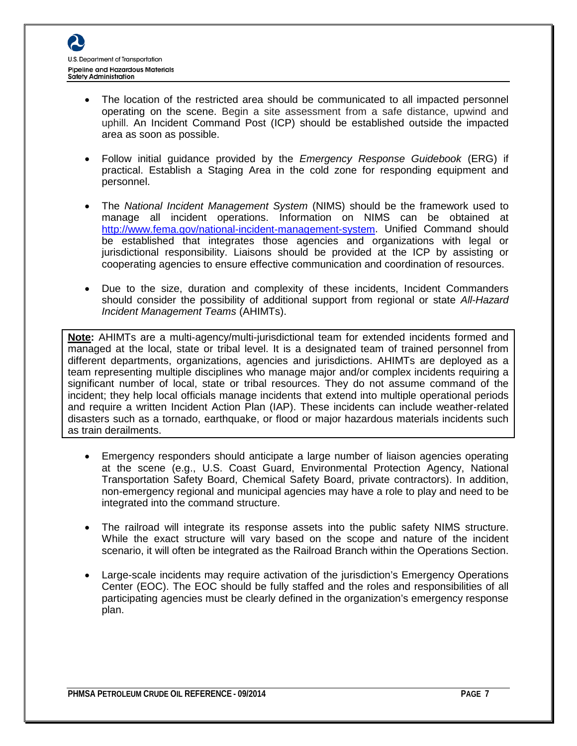- The location of the restricted area should be communicated to all impacted personnel operating on the scene. Begin a site assessment from a safe distance, upwind and uphill. An Incident Command Post (ICP) should be established outside the impacted area as soon as possible.
- Follow initial guidance provided by the *Emergency Response Guidebook* (ERG) if practical. Establish a Staging Area in the cold zone for responding equipment and personnel.
- The *National Incident Management System* (NIMS) should be the framework used to manage all incident operations. Information on NIMS can be obtained at [http://www.fema.gov/national-incident-management-system.](http://www.fema.gov/national-incident-management-system) Unified Command should be established that integrates those agencies and organizations with legal or jurisdictional responsibility. Liaisons should be provided at the ICP by assisting or cooperating agencies to ensure effective communication and coordination of resources.
- Due to the size, duration and complexity of these incidents, Incident Commanders should consider the possibility of additional support from regional or state *All-Hazard Incident Management Teams* (AHIMTs).

**Note:** AHIMTs are a multi-agency/multi-jurisdictional team for extended incidents formed and managed at the local, state or tribal level. It is a designated team of trained personnel from different departments, organizations, agencies and jurisdictions. AHIMTs are deployed as a team representing multiple disciplines who manage major and/or complex incidents requiring a significant number of local, state or tribal resources. They do not assume command of the incident; they help local officials manage incidents that extend into multiple operational periods and require a written Incident Action Plan (IAP). These incidents can include weather-related disasters such as a tornado, earthquake, or flood or major hazardous materials incidents such as train derailments.

- Emergency responders should anticipate a large number of liaison agencies operating at the scene (e.g., U.S. Coast Guard, Environmental Protection Agency, National Transportation Safety Board, Chemical Safety Board, private contractors). In addition, non-emergency regional and municipal agencies may have a role to play and need to be integrated into the command structure.
- The railroad will integrate its response assets into the public safety NIMS structure. While the exact structure will vary based on the scope and nature of the incident scenario, it will often be integrated as the Railroad Branch within the Operations Section.
- Large-scale incidents may require activation of the jurisdiction's Emergency Operations Center (EOC). The EOC should be fully staffed and the roles and responsibilities of all participating agencies must be clearly defined in the organization's emergency response plan.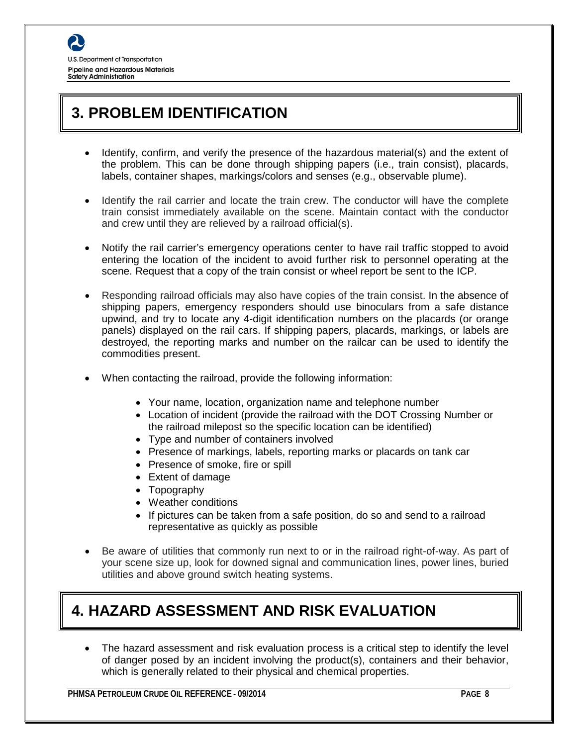

# **3. PROBLEM IDENTIFICATION**

- Identify, confirm, and verify the presence of the hazardous material(s) and the extent of the problem. This can be done through shipping papers (i.e., train consist), placards, labels, container shapes, markings/colors and senses (e.g., observable plume).
- Identify the rail carrier and locate the train crew. The conductor will have the complete train consist immediately available on the scene. Maintain contact with the conductor and crew until they are relieved by a railroad official(s).
- Notify the rail carrier's emergency operations center to have rail traffic stopped to avoid entering the location of the incident to avoid further risk to personnel operating at the scene. Request that a copy of the train consist or wheel report be sent to the ICP.
- Responding railroad officials may also have copies of the train consist. In the absence of shipping papers, emergency responders should use binoculars from a safe distance upwind, and try to locate any 4-digit identification numbers on the placards (or orange panels) displayed on the rail cars. If shipping papers, placards, markings, or labels are destroyed, the reporting marks and number on the railcar can be used to identify the commodities present.
- When contacting the railroad, provide the following information:
	- Your name, location, organization name and telephone number
	- Location of incident (provide the railroad with the DOT Crossing Number or the railroad milepost so the specific location can be identified)
	- Type and number of containers involved
	- Presence of markings, labels, reporting marks or placards on tank car
	- Presence of smoke, fire or spill
	- Extent of damage
	- Topography
	- Weather conditions
	- If pictures can be taken from a safe position, do so and send to a railroad representative as quickly as possible
- Be aware of utilities that commonly run next to or in the railroad right-of-way. As part of your scene size up, look for downed signal and communication lines, power lines, buried utilities and above ground switch heating systems.

# **4. HAZARD ASSESSMENT AND RISK EVALUATION**

The hazard assessment and risk evaluation process is a critical step to identify the level of danger posed by an incident involving the product(s), containers and their behavior, which is generally related to their physical and chemical properties.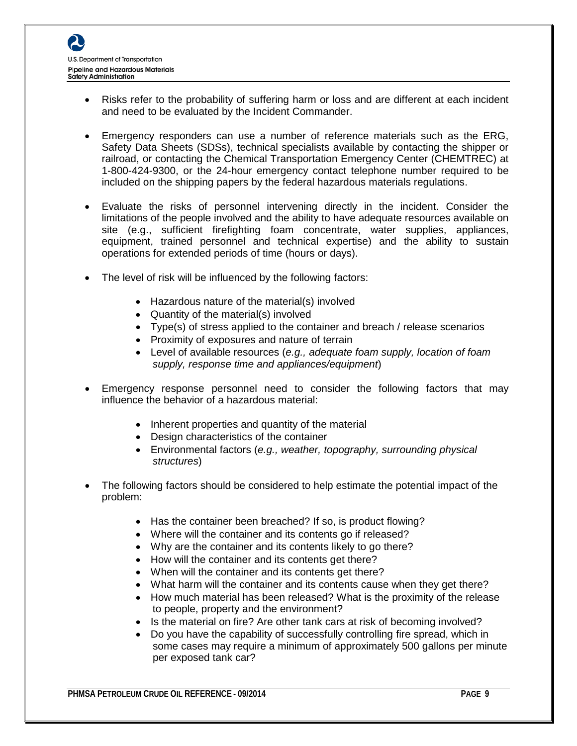- Risks refer to the probability of suffering harm or loss and are different at each incident and need to be evaluated by the Incident Commander.
- Emergency responders can use a number of reference materials such as the ERG, Safety Data Sheets (SDSs), technical specialists available by contacting the shipper or railroad, or contacting the Chemical Transportation Emergency Center (CHEMTREC) at 1-800-424-9300, or the 24-hour emergency contact telephone number required to be included on the shipping papers by the federal hazardous materials regulations.
- Evaluate the risks of personnel intervening directly in the incident. Consider the limitations of the people involved and the ability to have adequate resources available on site (e.g., sufficient firefighting foam concentrate, water supplies, appliances, equipment, trained personnel and technical expertise) and the ability to sustain operations for extended periods of time (hours or days).
- The level of risk will be influenced by the following factors:
	- Hazardous nature of the material(s) involved
	- Quantity of the material(s) involved
	- Type(s) of stress applied to the container and breach / release scenarios
	- Proximity of exposures and nature of terrain
	- Level of available resources (*e.g., adequate foam supply, location of foam supply, response time and appliances/equipment*)
- Emergency response personnel need to consider the following factors that may influence the behavior of a hazardous material:
	- Inherent properties and quantity of the material
	- Design characteristics of the container
	- Environmental factors (*e.g., weather, topography, surrounding physical structures*)
- The following factors should be considered to help estimate the potential impact of the problem:
	- Has the container been breached? If so, is product flowing?
	- Where will the container and its contents go if released?
	- Why are the container and its contents likely to go there?
	- How will the container and its contents get there?
	- When will the container and its contents get there?
	- What harm will the container and its contents cause when they get there?
	- How much material has been released? What is the proximity of the release to people, property and the environment?
	- Is the material on fire? Are other tank cars at risk of becoming involved?
	- Do you have the capability of successfully controlling fire spread, which in some cases may require a minimum of approximately 500 gallons per minute per exposed tank car?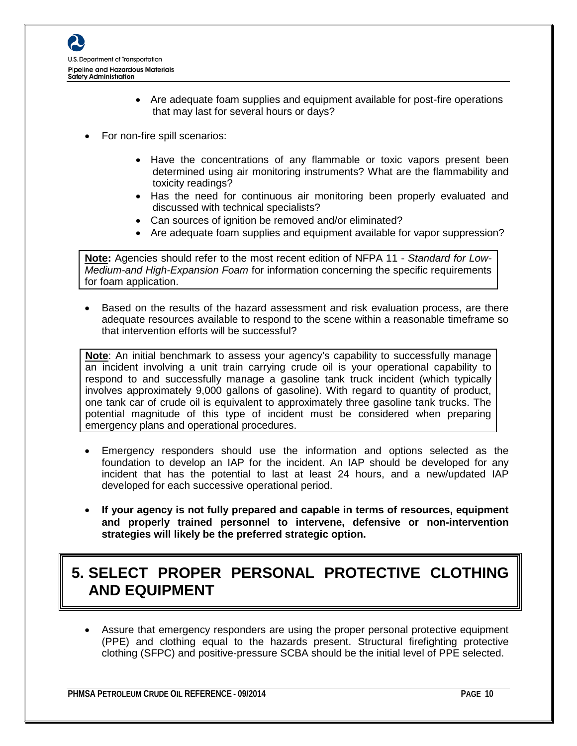

- Are adequate foam supplies and equipment available for post-fire operations that may last for several hours or days?
- For non-fire spill scenarios:
	- Have the concentrations of any flammable or toxic vapors present been determined using air monitoring instruments? What are the flammability and toxicity readings?
	- Has the need for continuous air monitoring been properly evaluated and discussed with technical specialists?
	- Can sources of ignition be removed and/or eliminated?
	- Are adequate foam supplies and equipment available for vapor suppression?

**Note:** Agencies should refer to the most recent edition of NFPA 11 - *Standard for Low-Medium-and High-Expansion Foam* for information concerning the specific requirements for foam application.

• Based on the results of the hazard assessment and risk evaluation process, are there adequate resources available to respond to the scene within a reasonable timeframe so that intervention efforts will be successful?

**Note**: An initial benchmark to assess your agency's capability to successfully manage an incident involving a unit train carrying crude oil is your operational capability to respond to and successfully manage a gasoline tank truck incident (which typically involves approximately 9,000 gallons of gasoline). With regard to quantity of product, one tank car of crude oil is equivalent to approximately three gasoline tank trucks. The potential magnitude of this type of incident must be considered when preparing emergency plans and operational procedures.

- Emergency responders should use the information and options selected as the foundation to develop an IAP for the incident. An IAP should be developed for any incident that has the potential to last at least 24 hours, and a new/updated IAP developed for each successive operational period.
- **If your agency is not fully prepared and capable in terms of resources, equipment and properly trained personnel to intervene, defensive or non-intervention strategies will likely be the preferred strategic option.**

# **5. SELECT PROPER PERSONAL PROTECTIVE CLOTHING AND EQUIPMENT**

• Assure that emergency responders are using the proper personal protective equipment (PPE) and clothing equal to the hazards present. Structural firefighting protective clothing (SFPC) and positive-pressure SCBA should be the initial level of PPE selected.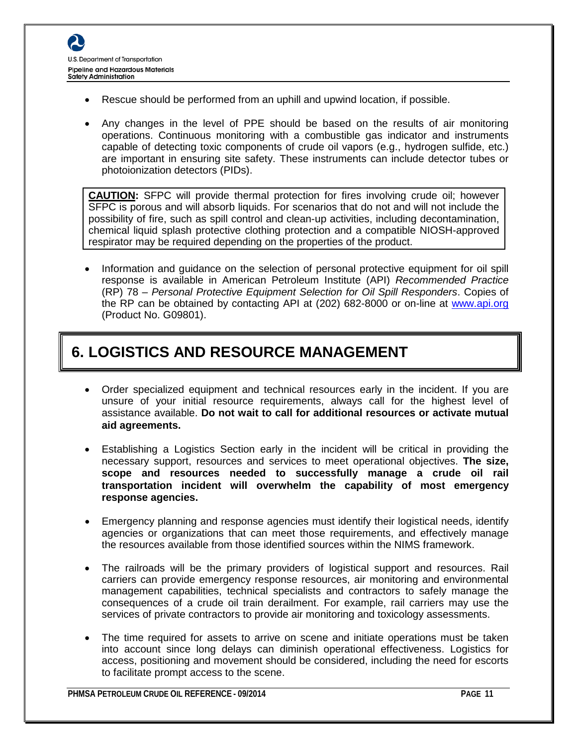- Rescue should be performed from an uphill and upwind location, if possible.
- Any changes in the level of PPE should be based on the results of air monitoring operations. Continuous monitoring with a combustible gas indicator and instruments capable of detecting toxic components of crude oil vapors (e.g., hydrogen sulfide, etc.) are important in ensuring site safety. These instruments can include detector tubes or photoionization detectors (PIDs).

**CAUTION:** SFPC will provide thermal protection for fires involving crude oil; however SFPC is porous and will absorb liquids. For scenarios that do not and will not include the possibility of fire, such as spill control and clean-up activities, including decontamination, chemical liquid splash protective clothing protection and a compatible NIOSH-approved respirator may be required depending on the properties of the product.

• Information and guidance on the selection of personal protective equipment for oil spill response is available in American Petroleum Institute (API) *Recommended Practice* (RP) 78 – *Personal Protective Equipment Selection for Oil Spill Responders*. Copies of the RP can be obtained by contacting API at (202) 682-8000 or on-line at [www.api.org](http://www.api.org/) (Product No. G09801).

# **6. LOGISTICS AND RESOURCE MANAGEMENT**

- Order specialized equipment and technical resources early in the incident. If you are unsure of your initial resource requirements, always call for the highest level of assistance available. **Do not wait to call for additional resources or activate mutual aid agreements.**
- Establishing a Logistics Section early in the incident will be critical in providing the necessary support, resources and services to meet operational objectives. **The size, scope and resources needed to successfully manage a crude oil rail transportation incident will overwhelm the capability of most emergency response agencies.**
- Emergency planning and response agencies must identify their logistical needs, identify agencies or organizations that can meet those requirements, and effectively manage the resources available from those identified sources within the NIMS framework.
- The railroads will be the primary providers of logistical support and resources. Rail carriers can provide emergency response resources, air monitoring and environmental management capabilities, technical specialists and contractors to safely manage the consequences of a crude oil train derailment. For example, rail carriers may use the services of private contractors to provide air monitoring and toxicology assessments.
- The time required for assets to arrive on scene and initiate operations must be taken into account since long delays can diminish operational effectiveness. Logistics for access, positioning and movement should be considered, including the need for escorts to facilitate prompt access to the scene.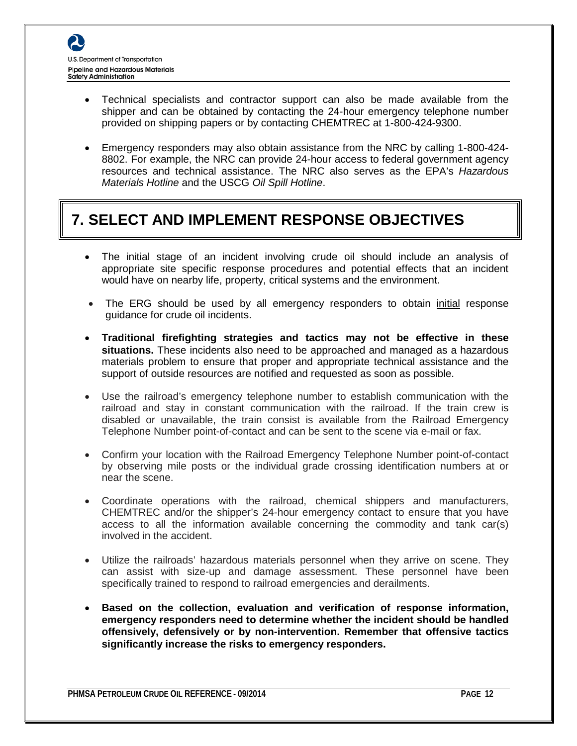- Technical specialists and contractor support can also be made available from the shipper and can be obtained by contacting the 24-hour emergency telephone number provided on shipping papers or by contacting CHEMTREC at 1-800-424-9300.
- Emergency responders may also obtain assistance from the NRC by calling 1-800-424- 8802. For example, the NRC can provide 24-hour access to federal government agency resources and technical assistance. The NRC also serves as the EPA's *Hazardous Materials Hotline* and the USCG *Oil Spill Hotline*.

# **7. SELECT AND IMPLEMENT RESPONSE OBJECTIVES**

- The initial stage of an incident involving crude oil should include an analysis of appropriate site specific response procedures and potential effects that an incident would have on nearby life, property, critical systems and the environment.
- The ERG should be used by all emergency responders to obtain initial response guidance for crude oil incidents.
- **Traditional firefighting strategies and tactics may not be effective in these situations.** These incidents also need to be approached and managed as a hazardous materials problem to ensure that proper and appropriate technical assistance and the support of outside resources are notified and requested as soon as possible.
- Use the railroad's emergency telephone number to establish communication with the railroad and stay in constant communication with the railroad. If the train crew is disabled or unavailable, the train consist is available from the Railroad Emergency Telephone Number point-of-contact and can be sent to the scene via e-mail or fax.
- Confirm your location with the Railroad Emergency Telephone Number point-of-contact by observing mile posts or the individual grade crossing identification numbers at or near the scene.
- Coordinate operations with the railroad, chemical shippers and manufacturers, CHEMTREC and/or the shipper's 24-hour emergency contact to ensure that you have access to all the information available concerning the commodity and tank car(s) involved in the accident.
- Utilize the railroads' hazardous materials personnel when they arrive on scene. They can assist with size-up and damage assessment. These personnel have been specifically trained to respond to railroad emergencies and derailments.
- **Based on the collection, evaluation and verification of response information, emergency responders need to determine whether the incident should be handled offensively, defensively or by non-intervention. Remember that offensive tactics significantly increase the risks to emergency responders.**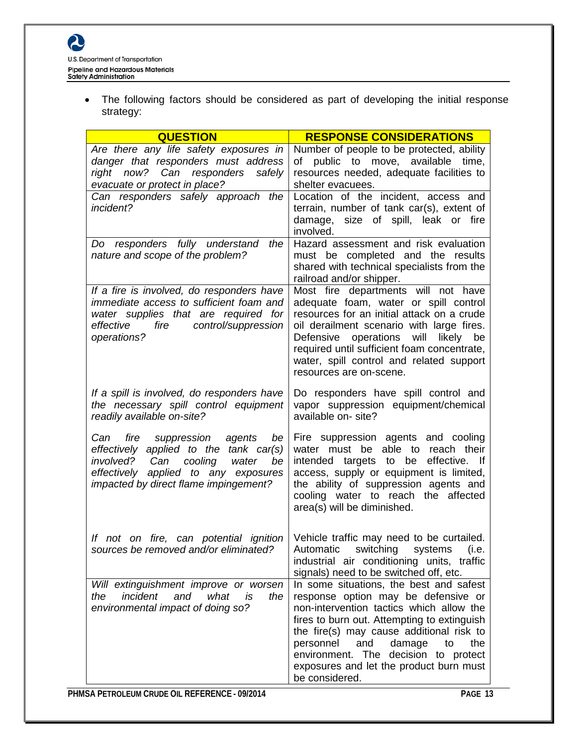• The following factors should be considered as part of developing the initial response strategy:

| <b>QUESTION</b>                                                                                                                                                                                         | <b>RESPONSE CONSIDERATIONS</b>                                                                                                                                                                                                                                                                                                                                        |
|---------------------------------------------------------------------------------------------------------------------------------------------------------------------------------------------------------|-----------------------------------------------------------------------------------------------------------------------------------------------------------------------------------------------------------------------------------------------------------------------------------------------------------------------------------------------------------------------|
| Are there any life safety exposures in<br>danger that responders must address<br>right now? Can responders safely<br>evacuate or protect in place?                                                      | Number of people to be protected, ability<br>public to move, available time,<br>of<br>resources needed, adequate facilities to<br>shelter evacuees.                                                                                                                                                                                                                   |
| Can responders safely approach the<br>incident?                                                                                                                                                         | Location of the incident, access and<br>terrain, number of tank car(s), extent of<br>damage, size of spill, leak or fire<br>involved.                                                                                                                                                                                                                                 |
| Do responders fully understand<br>the<br>nature and scope of the problem?                                                                                                                               | Hazard assessment and risk evaluation<br>must be completed and the results<br>shared with technical specialists from the<br>railroad and/or shipper.                                                                                                                                                                                                                  |
| If a fire is involved, do responders have<br>immediate access to sufficient foam and<br>water supplies that are required for<br>fire<br>control/suppression<br>effective<br>operations?                 | Most fire departments will not have<br>adequate foam, water or spill control<br>resources for an initial attack on a crude<br>oil derailment scenario with large fires.<br>will likely be<br>Defensive operations<br>required until sufficient foam concentrate,<br>water, spill control and related support<br>resources are on-scene.                               |
| If a spill is involved, do responders have<br>the necessary spill control equipment<br>readily available on-site?                                                                                       | Do responders have spill control and<br>vapor suppression equipment/chemical<br>available on- site?                                                                                                                                                                                                                                                                   |
| Can fire suppression agents<br>be<br>effectively applied to the tank car(s)<br>involved?<br>Can<br>cooling water<br>be<br>effectively applied to any exposures<br>impacted by direct flame impingement? | Fire suppression agents and cooling<br>water must be able to reach their<br>effective. If<br>intended targets to be<br>access, supply or equipment is limited,<br>the ability of suppression agents and<br>cooling water to reach the affected<br>area(s) will be diminished.                                                                                         |
| If not on fire, can potential ignition<br>sources be removed and/or eliminated?                                                                                                                         | Vehicle traffic may need to be curtailed.<br>Automatic switching systems<br>(i.e.<br>industrial air conditioning units, traffic<br>signals) need to be switched off, etc.                                                                                                                                                                                             |
| Will extinguishment improve or worsen<br>incident<br>and what<br>is<br>the<br>the<br>environmental impact of doing so?                                                                                  | In some situations, the best and safest<br>response option may be defensive or<br>non-intervention tactics which allow the<br>fires to burn out. Attempting to extinguish<br>the fire(s) may cause additional risk to<br>and<br>personnel<br>damage<br>to<br>the<br>environment. The decision to protect<br>exposures and let the product burn must<br>be considered. |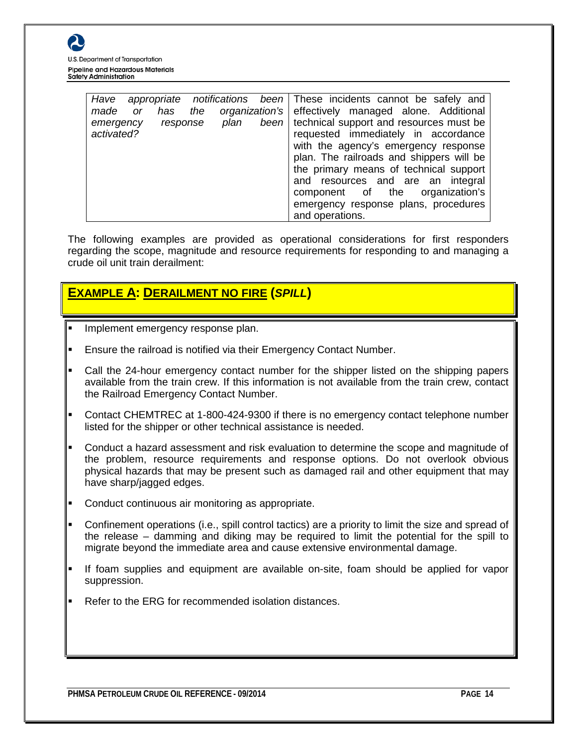

| Have       |    |          |     |      |                   | appropriate notifications been These incidents cannot be safely and |
|------------|----|----------|-----|------|-------------------|---------------------------------------------------------------------|
| made       | or | has      | the |      | organization's    | effectively managed alone. Additional                               |
| emergency  |    | response |     | plan | been <sub>l</sub> | technical support and resources must be                             |
| activated? |    |          |     |      |                   | requested immediately in accordance                                 |
|            |    |          |     |      |                   | with the agency's emergency response                                |
|            |    |          |     |      |                   | plan. The railroads and shippers will be                            |
|            |    |          |     |      |                   | the primary means of technical support                              |
|            |    |          |     |      |                   | and resources and are an integral                                   |
|            |    |          |     |      |                   | organization's<br>component of the                                  |
|            |    |          |     |      |                   | emergency response plans, procedures                                |
|            |    |          |     |      |                   | and operations.                                                     |

The following examples are provided as operational considerations for first responders regarding the scope, magnitude and resource requirements for responding to and managing a crude oil unit train derailment:

#### **EXAMPLE A: DERAILMENT NO FIRE (***SPILL***)**

- Implement emergency response plan.
- Ensure the railroad is notified via their Emergency Contact Number.
- Call the 24-hour emergency contact number for the shipper listed on the shipping papers available from the train crew. If this information is not available from the train crew, contact the Railroad Emergency Contact Number.
- Contact CHEMTREC at 1-800-424-9300 if there is no emergency contact telephone number listed for the shipper or other technical assistance is needed.
- Conduct a hazard assessment and risk evaluation to determine the scope and magnitude of the problem, resource requirements and response options. Do not overlook obvious physical hazards that may be present such as damaged rail and other equipment that may have sharp/jagged edges.
- Conduct continuous air monitoring as appropriate.
- Confinement operations (i.e., spill control tactics) are a priority to limit the size and spread of the release – damming and diking may be required to limit the potential for the spill to migrate beyond the immediate area and cause extensive environmental damage.
- If foam supplies and equipment are available on-site, foam should be applied for vapor suppression.
- Refer to the ERG for recommended isolation distances.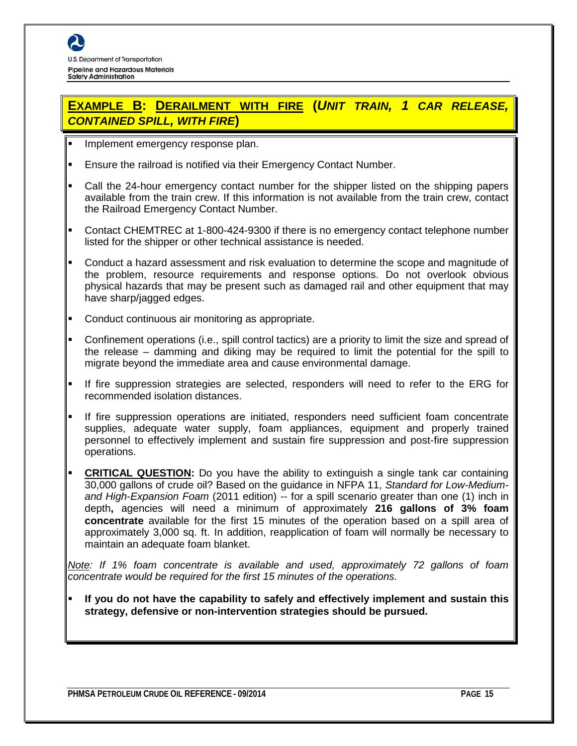#### **EXAMPLE B: DERAILMENT WITH FIRE (***UNIT TRAIN, 1 CAR RELEASE, CONTAINED SPILL, WITH FIRE***)**

- **Implement emergency response plan.**
- Ensure the railroad is notified via their Emergency Contact Number.
- Call the 24-hour emergency contact number for the shipper listed on the shipping papers available from the train crew. If this information is not available from the train crew, contact the Railroad Emergency Contact Number.
- Contact CHEMTREC at 1-800-424-9300 if there is no emergency contact telephone number listed for the shipper or other technical assistance is needed.
- Conduct a hazard assessment and risk evaluation to determine the scope and magnitude of the problem, resource requirements and response options. Do not overlook obvious physical hazards that may be present such as damaged rail and other equipment that may have sharp/jagged edges.
- Conduct continuous air monitoring as appropriate.
- Confinement operations (i.e., spill control tactics) are a priority to limit the size and spread of the release – damming and diking may be required to limit the potential for the spill to migrate beyond the immediate area and cause environmental damage.
- If fire suppression strategies are selected, responders will need to refer to the ERG for recommended isolation distances.
- If fire suppression operations are initiated, responders need sufficient foam concentrate supplies, adequate water supply, foam appliances, equipment and properly trained personnel to effectively implement and sustain fire suppression and post-fire suppression operations.
- **CRITICAL QUESTION:** Do you have the ability to extinguish a single tank car containing 30,000 gallons of crude oil? Based on the guidance in NFPA 11, *Standard for Low-Mediumand High-Expansion Foam* (2011 edition) -- for a spill scenario greater than one (1) inch in depth**,** agencies will need a minimum of approximately **216 gallons of 3% foam concentrate** available for the first 15 minutes of the operation based on a spill area of approximately 3,000 sq. ft. In addition, reapplication of foam will normally be necessary to maintain an adequate foam blanket.

*Note: If 1% foam concentrate is available and used, approximately 72 gallons of foam concentrate would be required for the first 15 minutes of the operations.*

 **If you do not have the capability to safely and effectively implement and sustain this strategy, defensive or non-intervention strategies should be pursued.**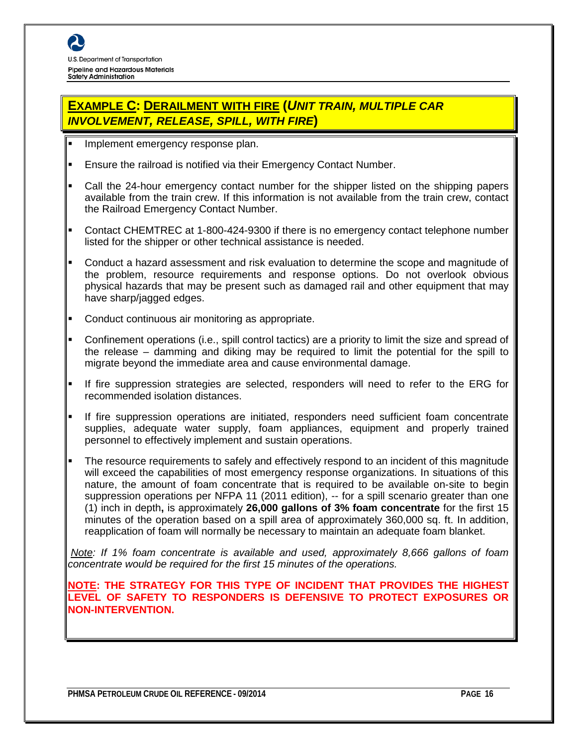#### **EXAMPLE C: DERAILMENT WITH FIRE (***UNIT TRAIN, MULTIPLE CAR INVOLVEMENT, RELEASE, SPILL, WITH FIRE***)**

- **Implement emergency response plan.**
- Ensure the railroad is notified via their Emergency Contact Number.
- Call the 24-hour emergency contact number for the shipper listed on the shipping papers available from the train crew. If this information is not available from the train crew, contact the Railroad Emergency Contact Number.
- Contact CHEMTREC at 1-800-424-9300 if there is no emergency contact telephone number listed for the shipper or other technical assistance is needed.
- Conduct a hazard assessment and risk evaluation to determine the scope and magnitude of the problem, resource requirements and response options. Do not overlook obvious physical hazards that may be present such as damaged rail and other equipment that may have sharp/jagged edges.
- Conduct continuous air monitoring as appropriate.
- Confinement operations (i.e., spill control tactics) are a priority to limit the size and spread of the release – damming and diking may be required to limit the potential for the spill to migrate beyond the immediate area and cause environmental damage.
- If fire suppression strategies are selected, responders will need to refer to the ERG for recommended isolation distances.
- If fire suppression operations are initiated, responders need sufficient foam concentrate supplies, adequate water supply, foam appliances, equipment and properly trained personnel to effectively implement and sustain operations.
- The resource requirements to safely and effectively respond to an incident of this magnitude will exceed the capabilities of most emergency response organizations. In situations of this nature, the amount of foam concentrate that is required to be available on-site to begin suppression operations per NFPA 11 (2011 edition), -- for a spill scenario greater than one (1) inch in depth**,** is approximately **26,000 gallons of 3% foam concentrate** for the first 15 minutes of the operation based on a spill area of approximately 360,000 sq. ft. In addition, reapplication of foam will normally be necessary to maintain an adequate foam blanket.

*Note: If 1% foam concentrate is available and used, approximately 8,666 gallons of foam concentrate would be required for the first 15 minutes of the operations.*

**NOTE: THE STRATEGY FOR THIS TYPE OF INCIDENT THAT PROVIDES THE HIGHEST LEVEL OF SAFETY TO RESPONDERS IS DEFENSIVE TO PROTECT EXPOSURES OR NON-INTERVENTION.**